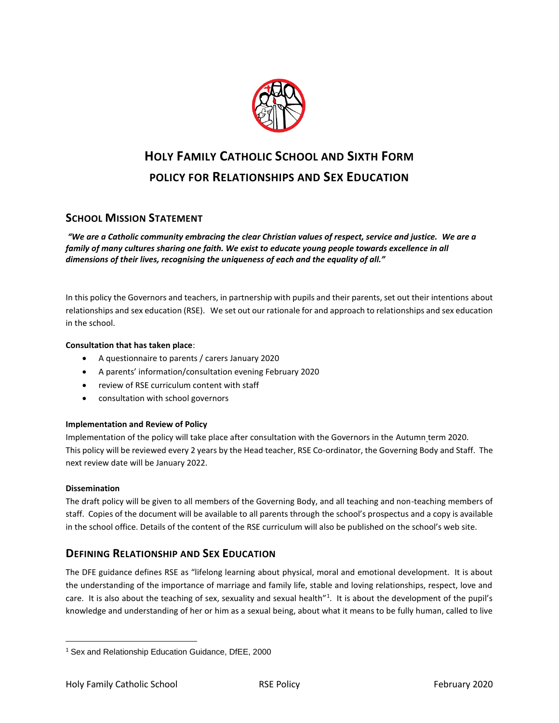

# **HOLY FAMILY CATHOLIC SCHOOL AND SIXTH FORM POLICY FOR RELATIONSHIPS AND SEX EDUCATION**

# **SCHOOL MISSION STATEMENT**

*"We are a Catholic community embracing the clear Christian values of respect, service and justice. We are a*  family of many cultures sharing one faith. We exist to educate young people towards excellence in all *dimensions of their lives, recognising the uniqueness of each and the equality of all."*

In this policy the Governors and teachers, in partnership with pupils and their parents, set out their intentions about relationships and sex education (RSE). We set out our rationale for and approach to relationships and sex education in the school.

#### **Consultation that has taken place**:

- A questionnaire to parents / carers January 2020
- A parents' information/consultation evening February 2020
- review of RSE curriculum content with staff
- consultation with school governors

#### **Implementation and Review of Policy**

Implementation of the policy will take place after consultation with the Governors in the Autumn term 2020. This policy will be reviewed every 2 years by the Head teacher, RSE Co-ordinator, the Governing Body and Staff. The next review date will be January 2022.

#### **Dissemination**

 $\overline{\phantom{a}}$ 

The draft policy will be given to all members of the Governing Body, and all teaching and non-teaching members of staff. Copies of the document will be available to all parents through the school's prospectus and a copy is available in the school office. Details of the content of the RSE curriculum will also be published on the school's web site.

# **DEFINING RELATIONSHIP AND SEX EDUCATION**

The DFE guidance defines RSE as "lifelong learning about physical, moral and emotional development. It is about the understanding of the importance of marriage and family life, stable and loving relationships, respect, love and care. It is also about the teaching of sex, sexuality and sexual health<sup>"1</sup>. It is about the development of the pupil's knowledge and understanding of her or him as a sexual being, about what it means to be fully human, called to live

<sup>1</sup> Sex and Relationship Education Guidance, DfEE, 2000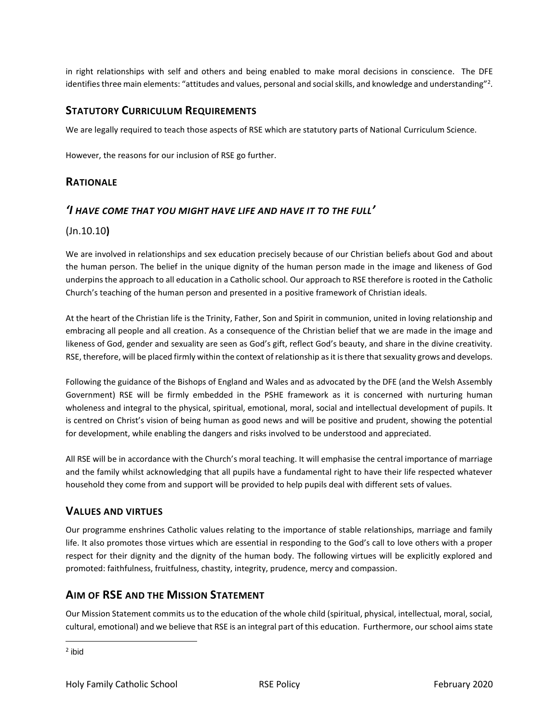in right relationships with self and others and being enabled to make moral decisions in conscience. The DFE identifies three main elements: "attitudes and values, personal and social skills, and knowledge and understanding"<sup>2</sup>.

## **STATUTORY CURRICULUM REQUIREMENTS**

We are legally required to teach those aspects of RSE which are statutory parts of National Curriculum Science.

However, the reasons for our inclusion of RSE go further.

## **RATIONALE**

#### *'I HAVE COME THAT YOU MIGHT HAVE LIFE AND HAVE IT TO THE FULL'*

#### (Jn.10.10**)**

We are involved in relationships and sex education precisely because of our Christian beliefs about God and about the human person. The belief in the unique dignity of the human person made in the image and likeness of God underpins the approach to all education in a Catholic school. Our approach to RSE therefore is rooted in the Catholic Church's teaching of the human person and presented in a positive framework of Christian ideals.

At the heart of the Christian life is the Trinity, Father, Son and Spirit in communion, united in loving relationship and embracing all people and all creation. As a consequence of the Christian belief that we are made in the image and likeness of God, gender and sexuality are seen as God's gift, reflect God's beauty, and share in the divine creativity. RSE, therefore, will be placed firmly within the context of relationship as it is there that sexuality grows and develops.

Following the guidance of the Bishops of England and Wales and as advocated by the DFE (and the Welsh Assembly Government) RSE will be firmly embedded in the PSHE framework as it is concerned with nurturing human wholeness and integral to the physical, spiritual, emotional, moral, social and intellectual development of pupils. It is centred on Christ's vision of being human as good news and will be positive and prudent, showing the potential for development, while enabling the dangers and risks involved to be understood and appreciated.

All RSE will be in accordance with the Church's moral teaching. It will emphasise the central importance of marriage and the family whilst acknowledging that all pupils have a fundamental right to have their life respected whatever household they come from and support will be provided to help pupils deal with different sets of values.

# **VALUES AND VIRTUES**

Our programme enshrines Catholic values relating to the importance of stable relationships, marriage and family life. It also promotes those virtues which are essential in responding to the God's call to love others with a proper respect for their dignity and the dignity of the human body. The following virtues will be explicitly explored and promoted: faithfulness, fruitfulness, chastity, integrity, prudence, mercy and compassion.

# **AIM OF RSE AND THE MISSION STATEMENT**

Our Mission Statement commits us to the education of the whole child (spiritual, physical, intellectual, moral, social, cultural, emotional) and we believe that RSE is an integral part of this education. Furthermore, our school aims state

 $\overline{\phantom{a}}$ 

<sup>&</sup>lt;sup>2</sup> ibid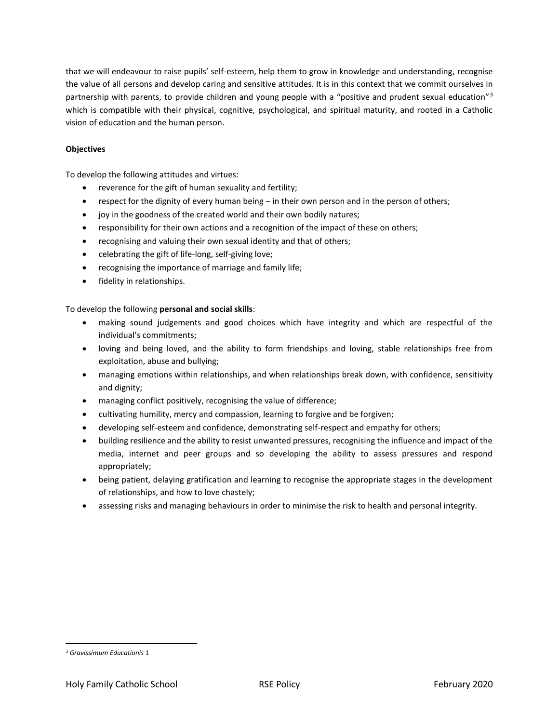that we will endeavour to raise pupils' self-esteem, help them to grow in knowledge and understanding, recognise the value of all persons and develop caring and sensitive attitudes. It is in this context that we commit ourselves in partnership with parents, to provide children and young people with a "positive and prudent sexual education"<sup>3</sup> which is compatible with their physical, cognitive, psychological, and spiritual maturity, and rooted in a Catholic vision of education and the human person.

#### **Objectives**

To develop the following attitudes and virtues:

- reverence for the gift of human sexuality and fertility;
- respect for the dignity of every human being in their own person and in the person of others;
- joy in the goodness of the created world and their own bodily natures;
- responsibility for their own actions and a recognition of the impact of these on others;
- recognising and valuing their own sexual identity and that of others;
- celebrating the gift of life-long, self-giving love;
- recognising the importance of marriage and family life;
- **•** fidelity in relationships.

#### To develop the following **personal and social skills**:

- making sound judgements and good choices which have integrity and which are respectful of the individual's commitments;
- loving and being loved, and the ability to form friendships and loving, stable relationships free from exploitation, abuse and bullying;
- managing emotions within relationships, and when relationships break down, with confidence, sensitivity and dignity;
- managing conflict positively, recognising the value of difference;
- cultivating humility, mercy and compassion, learning to forgive and be forgiven;
- developing self-esteem and confidence, demonstrating self-respect and empathy for others;
- building resilience and the ability to resist unwanted pressures, recognising the influence and impact of the media, internet and peer groups and so developing the ability to assess pressures and respond appropriately;
- being patient, delaying gratification and learning to recognise the appropriate stages in the development of relationships, and how to love chastely;
- assessing risks and managing behaviours in order to minimise the risk to health and personal integrity.

l

<sup>3</sup> *Gravissimum Educationis* 1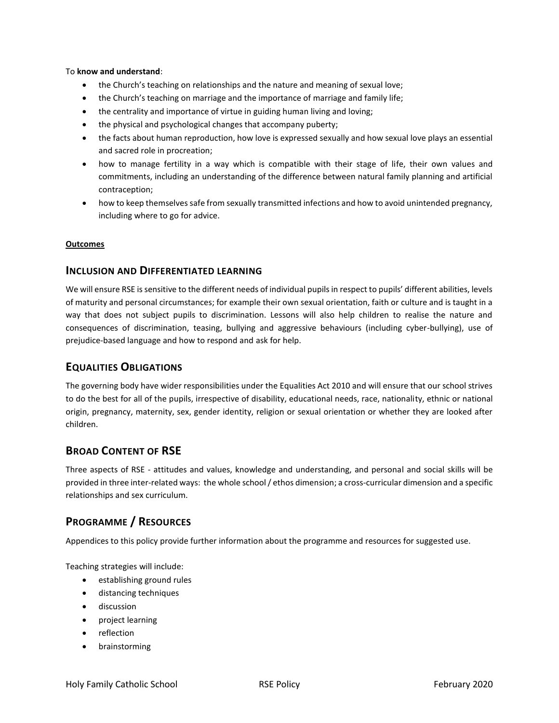#### To **know and understand**:

- the Church's teaching on relationships and the nature and meaning of sexual love;
- the Church's teaching on marriage and the importance of marriage and family life;
- the centrality and importance of virtue in guiding human living and loving;
- the physical and psychological changes that accompany puberty;
- the facts about human reproduction, how love is expressed sexually and how sexual love plays an essential and sacred role in procreation;
- how to manage fertility in a way which is compatible with their stage of life, their own values and commitments, including an understanding of the difference between natural family planning and artificial contraception;
- how to keep themselves safe from sexually transmitted infections and how to avoid unintended pregnancy, including where to go for advice.

#### **Outcomes**

#### **INCLUSION AND DIFFERENTIATED LEARNING**

We will ensure RSE is sensitive to the different needs of individual pupils in respect to pupils' different abilities, levels of maturity and personal circumstances; for example their own sexual orientation, faith or culture and is taught in a way that does not subject pupils to discrimination. Lessons will also help children to realise the nature and consequences of discrimination, teasing, bullying and aggressive behaviours (including cyber-bullying), use of prejudice-based language and how to respond and ask for help.

## **EQUALITIES OBLIGATIONS**

The governing body have wider responsibilities under the Equalities Act 2010 and will ensure that our school strives to do the best for all of the pupils, irrespective of disability, educational needs, race, nationality, ethnic or national origin, pregnancy, maternity, sex, gender identity, religion or sexual orientation or whether they are looked after children.

# **BROAD CONTENT OF RSE**

Three aspects of RSE - attitudes and values, knowledge and understanding, and personal and social skills will be provided in three inter-related ways: the whole school / ethos dimension; a cross-curricular dimension and a specific relationships and sex curriculum.

# **PROGRAMME / RESOURCES**

Appendices to this policy provide further information about the programme and resources for suggested use.

Teaching strategies will include:

- establishing ground rules
- distancing techniques
- discussion
- project learning
- reflection
- **•** brainstorming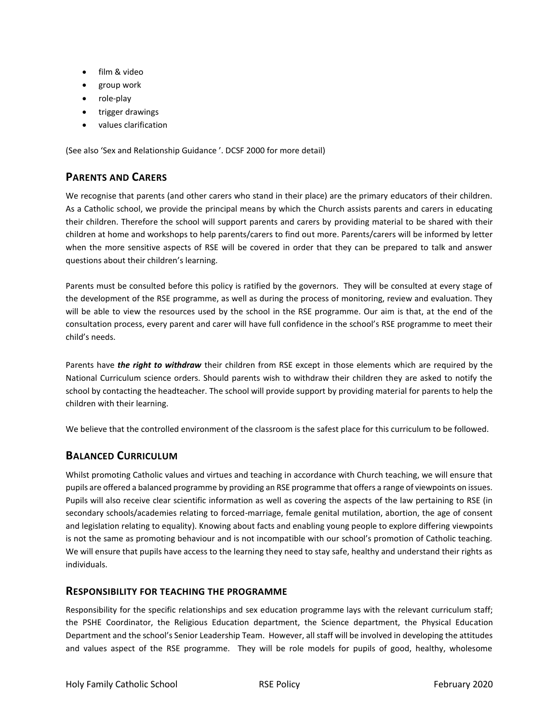- film & video
- group work
- role-play
- trigger drawings
- values clarification

(See also 'Sex and Relationship Guidance '. DCSF 2000 for more detail)

# **PARENTS AND CARERS**

We recognise that parents (and other carers who stand in their place) are the primary educators of their children. As a Catholic school, we provide the principal means by which the Church assists parents and carers in educating their children. Therefore the school will support parents and carers by providing material to be shared with their children at home and workshops to help parents/carers to find out more. Parents/carers will be informed by letter when the more sensitive aspects of RSE will be covered in order that they can be prepared to talk and answer questions about their children's learning.

Parents must be consulted before this policy is ratified by the governors. They will be consulted at every stage of the development of the RSE programme, as well as during the process of monitoring, review and evaluation. They will be able to view the resources used by the school in the RSE programme. Our aim is that, at the end of the consultation process, every parent and carer will have full confidence in the school's RSE programme to meet their child's needs.

Parents have *the right to withdraw* their children from RSE except in those elements which are required by the National Curriculum science orders. Should parents wish to withdraw their children they are asked to notify the school by contacting the headteacher. The school will provide support by providing material for parents to help the children with their learning.

We believe that the controlled environment of the classroom is the safest place for this curriculum to be followed.

# **BALANCED CURRICULUM**

Whilst promoting Catholic values and virtues and teaching in accordance with Church teaching, we will ensure that pupils are offered a balanced programme by providing an RSE programme that offers a range of viewpoints on issues. Pupils will also receive clear scientific information as well as covering the aspects of the law pertaining to RSE (in secondary schools/academies relating to forced-marriage, female genital mutilation, abortion, the age of consent and legislation relating to equality). Knowing about facts and enabling young people to explore differing viewpoints is not the same as promoting behaviour and is not incompatible with our school's promotion of Catholic teaching. We will ensure that pupils have access to the learning they need to stay safe, healthy and understand their rights as individuals.

#### **RESPONSIBILITY FOR TEACHING THE PROGRAMME**

Responsibility for the specific relationships and sex education programme lays with the relevant curriculum staff; the PSHE Coordinator, the Religious Education department, the Science department, the Physical Education Department and the school's Senior Leadership Team. However, all staff will be involved in developing the attitudes and values aspect of the RSE programme. They will be role models for pupils of good, healthy, wholesome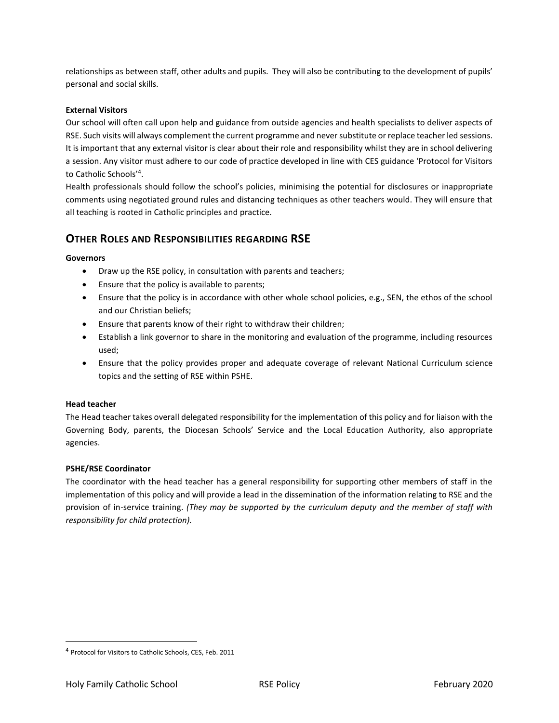relationships as between staff, other adults and pupils. They will also be contributing to the development of pupils' personal and social skills.

#### **External Visitors**

Our school will often call upon help and guidance from outside agencies and health specialists to deliver aspects of RSE. Such visits will always complement the current programme and never substitute or replace teacher led sessions. It is important that any external visitor is clear about their role and responsibility whilst they are in school delivering a session. Any visitor must adhere to our code of practice developed in line with CES guidance 'Protocol for Visitors to Catholic Schools'<sup>4</sup> .

Health professionals should follow the school's policies, minimising the potential for disclosures or inappropriate comments using negotiated ground rules and distancing techniques as other teachers would. They will ensure that all teaching is rooted in Catholic principles and practice.

# **OTHER ROLES AND RESPONSIBILITIES REGARDING RSE**

#### **Governors**

- Draw up the RSE policy, in consultation with parents and teachers;
- Ensure that the policy is available to parents;
- Ensure that the policy is in accordance with other whole school policies, e.g., SEN, the ethos of the school and our Christian beliefs;
- Ensure that parents know of their right to withdraw their children;
- Establish a link governor to share in the monitoring and evaluation of the programme, including resources used;
- Ensure that the policy provides proper and adequate coverage of relevant National Curriculum science topics and the setting of RSE within PSHE.

#### **Head teacher**

The Head teacher takes overall delegated responsibility for the implementation of this policy and for liaison with the Governing Body, parents, the Diocesan Schools' Service and the Local Education Authority, also appropriate agencies.

#### **PSHE/RSE Coordinator**

The coordinator with the head teacher has a general responsibility for supporting other members of staff in the implementation of this policy and will provide a lead in the dissemination of the information relating to RSE and the provision of in-service training. *(They may be supported by the curriculum deputy and the member of staff with responsibility for child protection).*

 $\overline{\phantom{a}}$ 

<sup>4</sup> Protocol for Visitors to Catholic Schools, CES, Feb. 2011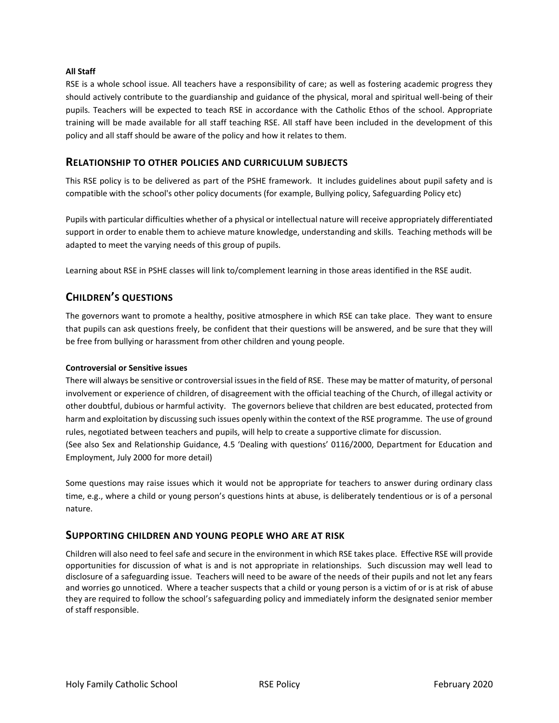#### **All Staff**

RSE is a whole school issue. All teachers have a responsibility of care; as well as fostering academic progress they should actively contribute to the guardianship and guidance of the physical, moral and spiritual well-being of their pupils. Teachers will be expected to teach RSE in accordance with the Catholic Ethos of the school. Appropriate training will be made available for all staff teaching RSE. All staff have been included in the development of this policy and all staff should be aware of the policy and how it relates to them.

#### **RELATIONSHIP TO OTHER POLICIES AND CURRICULUM SUBJECTS**

This RSE policy is to be delivered as part of the PSHE framework. It includes guidelines about pupil safety and is compatible with the school's other policy documents (for example, Bullying policy, Safeguarding Policy etc)

Pupils with particular difficulties whether of a physical or intellectual nature will receive appropriately differentiated support in order to enable them to achieve mature knowledge, understanding and skills. Teaching methods will be adapted to meet the varying needs of this group of pupils.

Learning about RSE in PSHE classes will link to/complement learning in those areas identified in the RSE audit.

# **CHILDREN'S QUESTIONS**

The governors want to promote a healthy, positive atmosphere in which RSE can take place. They want to ensure that pupils can ask questions freely, be confident that their questions will be answered, and be sure that they will be free from bullying or harassment from other children and young people.

#### **Controversial or Sensitive issues**

There will always be sensitive or controversial issues in the field of RSE. These may be matter of maturity, of personal involvement or experience of children, of disagreement with the official teaching of the Church, of illegal activity or other doubtful, dubious or harmful activity. The governors believe that children are best educated, protected from harm and exploitation by discussing such issues openly within the context of the RSE programme. The use of ground rules, negotiated between teachers and pupils, will help to create a supportive climate for discussion.

(See also Sex and Relationship Guidance, 4.5 'Dealing with questions' 0116/2000, Department for Education and Employment, July 2000 for more detail)

Some questions may raise issues which it would not be appropriate for teachers to answer during ordinary class time, e.g., where a child or young person's questions hints at abuse, is deliberately tendentious or is of a personal nature.

#### **SUPPORTING CHILDREN AND YOUNG PEOPLE WHO ARE AT RISK**

Children will also need to feel safe and secure in the environment in which RSE takes place. Effective RSE will provide opportunities for discussion of what is and is not appropriate in relationships. Such discussion may well lead to disclosure of a safeguarding issue. Teachers will need to be aware of the needs of their pupils and not let any fears and worries go unnoticed. Where a teacher suspects that a child or young person is a victim of or is at risk of abuse they are required to follow the school's safeguarding policy and immediately inform the designated senior member of staff responsible.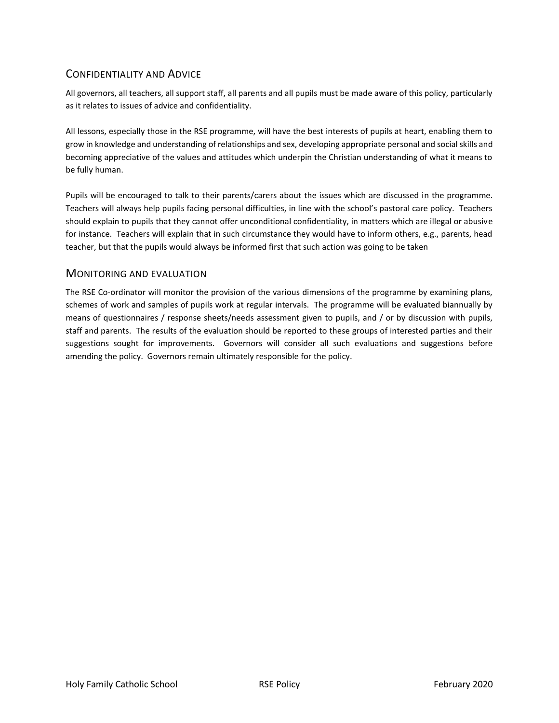# CONFIDENTIALITY AND ADVICE

All governors, all teachers, all support staff, all parents and all pupils must be made aware of this policy, particularly as it relates to issues of advice and confidentiality.

All lessons, especially those in the RSE programme, will have the best interests of pupils at heart, enabling them to grow in knowledge and understanding of relationships and sex, developing appropriate personal and social skills and becoming appreciative of the values and attitudes which underpin the Christian understanding of what it means to be fully human.

Pupils will be encouraged to talk to their parents/carers about the issues which are discussed in the programme. Teachers will always help pupils facing personal difficulties, in line with the school's pastoral care policy. Teachers should explain to pupils that they cannot offer unconditional confidentiality, in matters which are illegal or abusive for instance. Teachers will explain that in such circumstance they would have to inform others, e.g., parents, head teacher, but that the pupils would always be informed first that such action was going to be taken

## MONITORING AND EVALUATION

The RSE Co-ordinator will monitor the provision of the various dimensions of the programme by examining plans, schemes of work and samples of pupils work at regular intervals. The programme will be evaluated biannually by means of questionnaires / response sheets/needs assessment given to pupils, and / or by discussion with pupils, staff and parents. The results of the evaluation should be reported to these groups of interested parties and their suggestions sought for improvements. Governors will consider all such evaluations and suggestions before amending the policy. Governors remain ultimately responsible for the policy.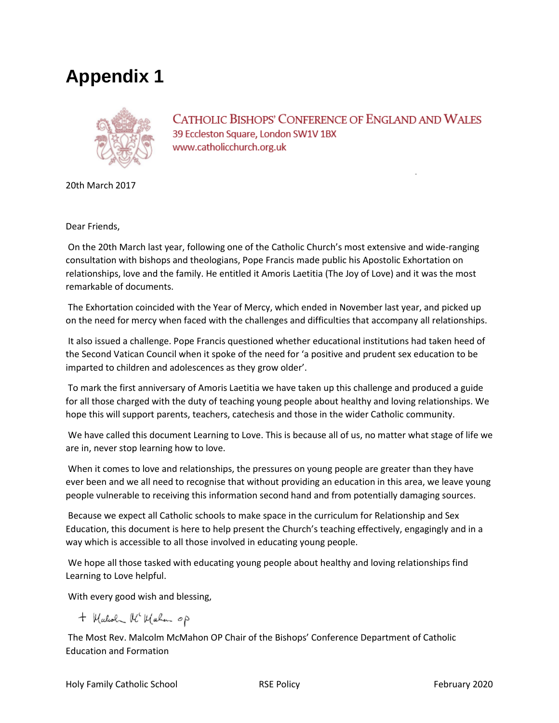# **Appendix 1**



**CATHOLIC BISHOPS' CONFERENCE OF ENGLAND AND WALES** 39 Eccleston Square, London SW1V 1BX www.catholicchurch.org.uk

20th March 2017

Dear Friends,

On the 20th March last year, following one of the Catholic Church's most extensive and wide-ranging consultation with bishops and theologians, Pope Francis made public his Apostolic Exhortation on relationships, love and the family. He entitled it Amoris Laetitia (The Joy of Love) and it was the most remarkable of documents.

The Exhortation coincided with the Year of Mercy, which ended in November last year, and picked up on the need for mercy when faced with the challenges and difficulties that accompany all relationships.

It also issued a challenge. Pope Francis questioned whether educational institutions had taken heed of the Second Vatican Council when it spoke of the need for 'a positive and prudent sex education to be imparted to children and adolescences as they grow older'.

To mark the first anniversary of Amoris Laetitia we have taken up this challenge and produced a guide for all those charged with the duty of teaching young people about healthy and loving relationships. We hope this will support parents, teachers, catechesis and those in the wider Catholic community.

We have called this document Learning to Love. This is because all of us, no matter what stage of life we are in, never stop learning how to love.

When it comes to love and relationships, the pressures on young people are greater than they have ever been and we all need to recognise that without providing an education in this area, we leave young people vulnerable to receiving this information second hand and from potentially damaging sources.

Because we expect all Catholic schools to make space in the curriculum for Relationship and Sex Education, this document is here to help present the Church's teaching effectively, engagingly and in a way which is accessible to all those involved in educating young people.

We hope all those tasked with educating young people about healthy and loving relationships find Learning to Love helpful.

With every good wish and blessing,

+ Malcoln Mc Mahan op

The Most Rev. Malcolm McMahon OP Chair of the Bishops' Conference Department of Catholic Education and Formation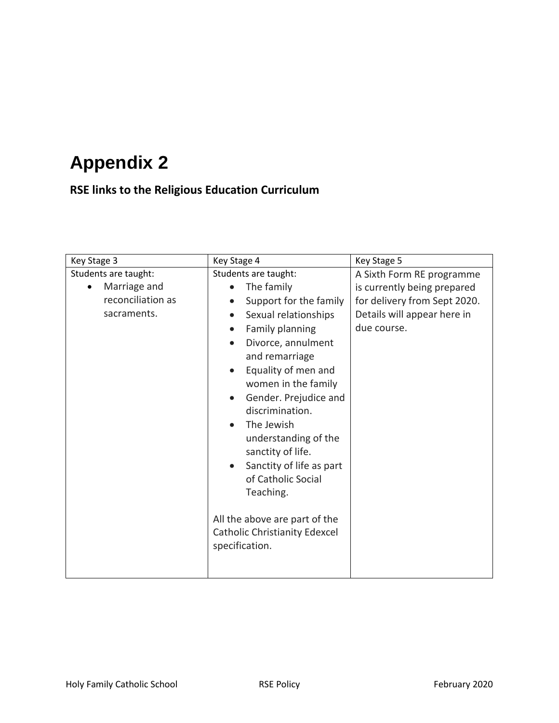# **Appendix 2**

# **RSE links to the Religious Education Curriculum**

| Key Stage 3                                                              | Key Stage 4                                                                                                                                                                                                                                                                                                                                                                                                                                                                                                        | Key Stage 5                                                                                                                            |
|--------------------------------------------------------------------------|--------------------------------------------------------------------------------------------------------------------------------------------------------------------------------------------------------------------------------------------------------------------------------------------------------------------------------------------------------------------------------------------------------------------------------------------------------------------------------------------------------------------|----------------------------------------------------------------------------------------------------------------------------------------|
| Students are taught:<br>Marriage and<br>reconciliation as<br>sacraments. | Students are taught:<br>The family<br>Support for the family<br>Sexual relationships<br>Family planning<br>$\bullet$<br>Divorce, annulment<br>$\bullet$<br>and remarriage<br>Equality of men and<br>$\bullet$<br>women in the family<br>Gender. Prejudice and<br>discrimination.<br>The Jewish<br>understanding of the<br>sanctity of life.<br>Sanctity of life as part<br>$\bullet$<br>of Catholic Social<br>Teaching.<br>All the above are part of the<br><b>Catholic Christianity Edexcel</b><br>specification. | A Sixth Form RE programme<br>is currently being prepared<br>for delivery from Sept 2020.<br>Details will appear here in<br>due course. |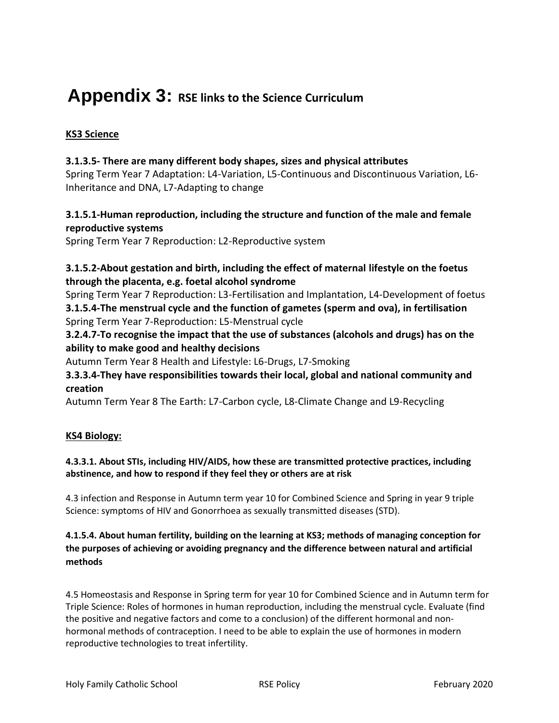# **Appendix 3: RSE links to the Science Curriculum**

# **KS3 Science**

# **3.1.3.5- There are many different body shapes, sizes and physical attributes**

Spring Term Year 7 Adaptation: L4-Variation, L5-Continuous and Discontinuous Variation, L6- Inheritance and DNA, L7-Adapting to change

# **3.1.5.1-Human reproduction, including the structure and function of the male and female reproductive systems**

Spring Term Year 7 Reproduction: L2-Reproductive system

# **3.1.5.2-About gestation and birth, including the effect of maternal lifestyle on the foetus through the placenta, e.g. foetal alcohol syndrome**

Spring Term Year 7 Reproduction: L3-Fertilisation and Implantation, L4-Development of foetus **3.1.5.4-The menstrual cycle and the function of gametes (sperm and ova), in fertilisation** Spring Term Year 7-Reproduction: L5-Menstrual cycle

# **3.2.4.7-To recognise the impact that the use of substances (alcohols and drugs) has on the ability to make good and healthy decisions**

Autumn Term Year 8 Health and Lifestyle: L6-Drugs, L7-Smoking

# **3.3.3.4-They have responsibilities towards their local, global and national community and creation**

Autumn Term Year 8 The Earth: L7-Carbon cycle, L8-Climate Change and L9-Recycling

# **KS4 Biology:**

# **4.3.3.1. About STIs, including HIV/AIDS, how these are transmitted protective practices, including abstinence, and how to respond if they feel they or others are at risk**

4.3 infection and Response in Autumn term year 10 for Combined Science and Spring in year 9 triple Science: symptoms of HIV and Gonorrhoea as sexually transmitted diseases (STD).

# **4.1.5.4. About human fertility, building on the learning at KS3; methods of managing conception for the purposes of achieving or avoiding pregnancy and the difference between natural and artificial methods**

4.5 Homeostasis and Response in Spring term for year 10 for Combined Science and in Autumn term for Triple Science: Roles of hormones in human reproduction, including the menstrual cycle. Evaluate (find the positive and negative factors and come to a conclusion) of the different hormonal and nonhormonal methods of contraception. I need to be able to explain the use of hormones in modern reproductive technologies to treat infertility.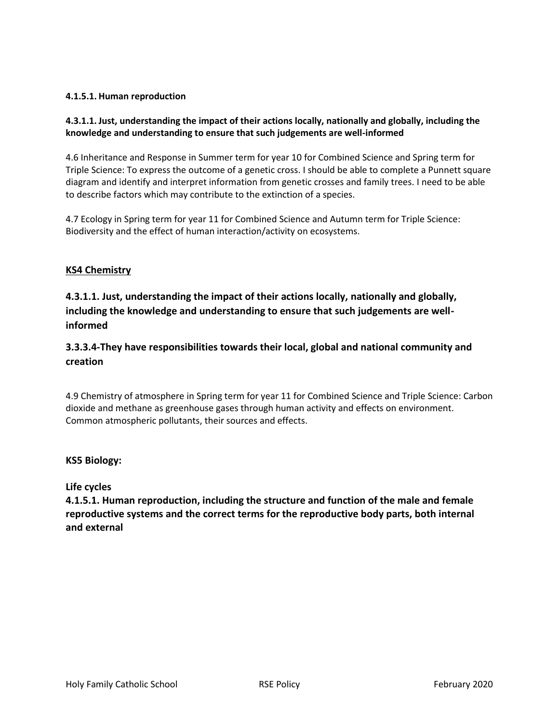## **4.1.5.1. Human reproduction**

# **4.3.1.1. Just, understanding the impact of their actions locally, nationally and globally, including the knowledge and understanding to ensure that such judgements are well-informed**

4.6 Inheritance and Response in Summer term for year 10 for Combined Science and Spring term for Triple Science: To express the outcome of a genetic cross. I should be able to complete a Punnett square diagram and identify and interpret information from genetic crosses and family trees. I need to be able to describe factors which may contribute to the extinction of a species.

4.7 Ecology in Spring term for year 11 for Combined Science and Autumn term for Triple Science: Biodiversity and the effect of human interaction/activity on ecosystems.

## **KS4 Chemistry**

**4.3.1.1. Just, understanding the impact of their actions locally, nationally and globally, including the knowledge and understanding to ensure that such judgements are wellinformed**

# **3.3.3.4-They have responsibilities towards their local, global and national community and creation**

4.9 Chemistry of atmosphere in Spring term for year 11 for Combined Science and Triple Science: Carbon dioxide and methane as greenhouse gases through human activity and effects on environment. Common atmospheric pollutants, their sources and effects.

#### **KS5 Biology:**

#### **Life cycles**

**4.1.5.1. Human reproduction, including the structure and function of the male and female reproductive systems and the correct terms for the reproductive body parts, both internal and external**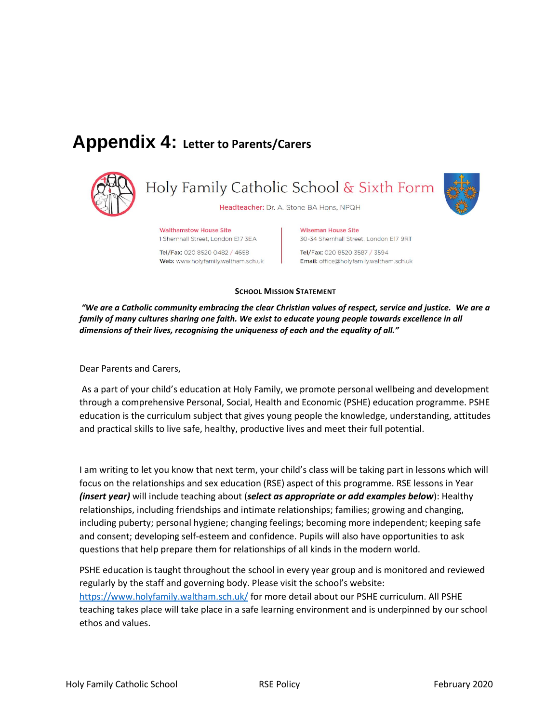# **Appendix 4: Letter to Parents/Carers**



**Walthamstow House Site** 1 Shernhall Street, London E17 3EA

Tel/Fax: 020 8520 0482 / 4658 Web: www.holyfamily.waltham.sch.uk Wiseman House Site 30-34 Shernhall Street, London E17 9RT

Tel/Fax: 020 8520 3587 / 3594 Email: office@holyfamily.waltham.sch.uk

#### **SCHOOL MISSION STATEMENT**

*"We are a Catholic community embracing the clear Christian values of respect, service and justice. We are a family of many cultures sharing one faith. We exist to educate young people towards excellence in all dimensions of their lives, recognising the uniqueness of each and the equality of all."*

Dear Parents and Carers,

As a part of your child's education at Holy Family, we promote personal wellbeing and development through a comprehensive Personal, Social, Health and Economic (PSHE) education programme. PSHE education is the curriculum subject that gives young people the knowledge, understanding, attitudes and practical skills to live safe, healthy, productive lives and meet their full potential.

I am writing to let you know that next term, your child's class will be taking part in lessons which will focus on the relationships and sex education (RSE) aspect of this programme. RSE lessons in Year *(insert year)* will include teaching about (*select as appropriate or add examples below*): Healthy relationships, including friendships and intimate relationships; families; growing and changing, including puberty; personal hygiene; changing feelings; becoming more independent; keeping safe and consent; developing self-esteem and confidence. Pupils will also have opportunities to ask questions that help prepare them for relationships of all kinds in the modern world.

PSHE education is taught throughout the school in every year group and is monitored and reviewed regularly by the staff and governing body. Please visit the school's website: <https://www.holyfamily.waltham.sch.uk/> for more detail about our PSHE curriculum. All PSHE teaching takes place will take place in a safe learning environment and is underpinned by our school ethos and values.